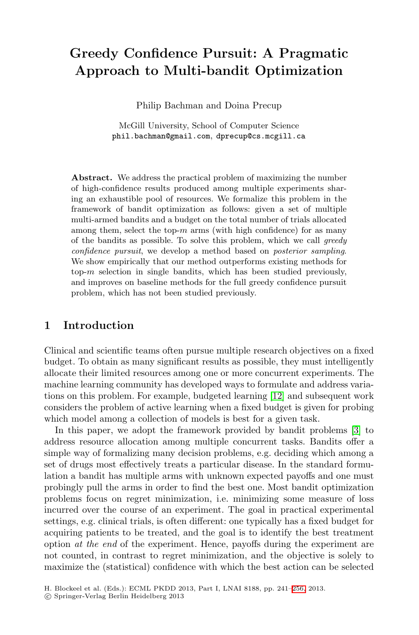# **Greedy Confidence Pursuit: A Pragmatic Approach to Multi-bandit Optimization**

Philip Bachman and Doina Precup

McGill University, School of Computer Science phil.bachman@gmail.com, dprecup@cs.mcgill.ca

**Abstract.** We address the practical problem of maximizing the number of high-confidence results produced among multiple experiments sharing an exhaustible pool of resources. We formalize this problem in the framework of bandit optimization as follows: given a set of multiple multi-armed bandits and a budget on the total number of trials allocated among them, select the top- $m$  arms (with high confidence) for as many of the bandits as possible. To solve this problem, which we call *greedy confidence pursuit*, we develop a method based on *posterior sampling*. We show empirically that our method outperforms existing methods for top- $m$  selection in single bandits, which has been studied previously, and improves on baseline methods for the full greedy confidence pursuit problem, which has not been studied previously.

# **1 Introduction**

Clinical and scientific teams often pursue multiple resear[ch](#page-15-0) objectives on a fixed budget. To obtain as many significant results as possible, they must intelligently allocate their limited resources among one or more concurrent experiments. The machine learning community has developed ways to formulate and address variations on this problem. For example, budgeted learning [12] and subsequent work considers the problem of active learning when a fixed budget is given for probing which model among a collection of models is best for a given task.

In this paper, we adopt the framework provided by bandit problems [3] to address resource allocation among multiple concurrent tasks. Bandits offer a simple way of formalizing many decision problems, e.g. deciding which among a set of drugs most effectively treats a particular disease. In the standard formulation a bandit has multiple arms with unknown expected payoffs and one must probingly pull the arms in order to find the best one. Most bandit optimization problems focus on regret minimization, [i.e.](#page-15-1) minimizing some measure of loss incurred over the course of an experiment. The goal in practical experimental settings, e.g. clinical trials, is often different: one typically has a fixed budget for acquiring patients to be treated, and the goal is to identify the best treatment option *at the end* of the experiment. Hence, payoffs during the experiment are not counted, in contrast to regret minimization, and the objective is solely to maximize the (statistical) confidence with which the best action can be selected

H. Blockeel et al. (Eds.): ECML PKDD 2013, Part I, LNAI 8188, pp. 241–256, 2013.

<sup>-</sup>c Springer-Verlag Berlin Heidelberg 2013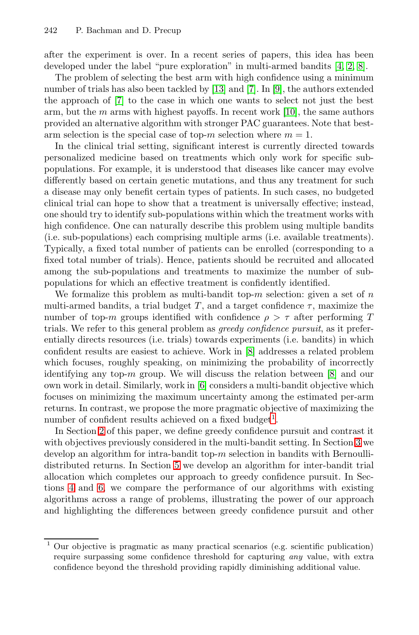after the experiment is over. In a recent series of papers, this idea has been developed under the label "pure exploration" in multi-armed bandits [4, 2, 8].

The problem of selecting the best arm with high confidence using a minimum number of trials has also been tackled by [13] and [7]. In [9], the authors extended the approach of [7] to the case in which one wants to select not just the best arm, but the  $m$  arms with highest payoffs. In recent work [10], the same authors provided an alternative algorithm with stronger PAC guarantees. Note that bestarm selection is the special case of top-m selection where  $m = 1$ .

In the clinical trial setting, significant interest is currently directed towards personalized medicine based on treatments which only work for specific subpopulations. For example, it is understood that diseases like cancer may evolve differently based on certain genetic mutations, and thus any treatment for such a disease may only benefit certain types of patients. In such cases, no budgeted clinical trial can hope to show that a treatment is universally effective; instead, one should try to identify sub-populations within which the treatment works with high confidence. One can naturally describe this problem using multiple bandits (i.e. sub-populations) each comprising multiple arms (i.e. available treatments). Typically, a fixed total number of patients can be enrolled (corresponding to a fixed total number of trials). [Hen](#page-15-2)ce, patients should be recruited and allocated among the sub-populations and treatments to maximize the number of subpopulations for which an effective treatment is co[nfid](#page-15-2)ently identified.

We formalize thi[s](#page-15-3) problem as multi-bandit top- $m$  selection: given a set of  $n$ multi-armed bandits, a trial budget T, and a target confidence  $\tau$ , maximize the number of top-m groups identified with confidence  $\rho > \tau$  after performing T trials. We refer to this general proble[m](#page-1-0) as *greedy confidence pursuit*, as it preferentially directs resources (i.e. trials) towards experiments (i.e. bandits) in which confident results are easiest to achieve. Work in [8] addr[ess](#page-3-0)es a related problem which focuses, roughly speaking, on minimizing the probability of incorrectly identifying a[ny](#page-9-0) top-m group. We will discuss the relation between  $[8]$  and our own work in detail. Similarly, work in [6] considers a multi-bandit objective which focuses on minimizing the maximum uncertainty among the estimated per-arm returns. In contrast, we propose the more pragmatic objective of maximizing the number of confident results achieved on a fixed budget<sup>1</sup>.

<span id="page-1-0"></span>In Section 2 of this paper, we define greedy confidence pursuit and contrast it with objectives previously considered in the multi-bandit setting. In Section 3 we develop an algorithm for intra-bandit top-m selection in bandits with Bernoullidistributed returns. In Section 5 we develop an algorithm for inter-bandit trial allocation which completes our approach to greedy confidence pursuit. In Sections 4 and 6, we compare the performance of our algorithms with existing algorithms across a range of problems, illustrating the power of our approach and highlighting the differences between greedy confidence pursuit and other

<sup>1</sup> Our objective is pragmatic as many practical scenarios (e.g. scientific publication) require surpassing some confidence threshold for capturing *any* value, with extra confidence beyond the threshold providing rapidly diminishing additional value.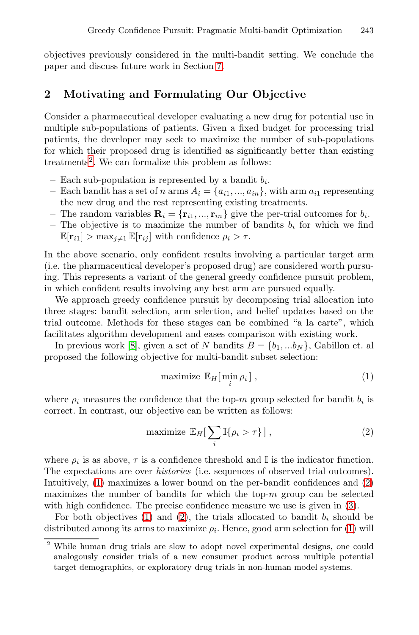<span id="page-2-2"></span>objectives previously considered in the multi-bandit setting. We conclude the paper and discuss future work in Section 7.

# **2 Motivating and Formulating Our Objective**

Consider a pharmaceutical developer evaluating a new drug for potential use in multiple sub-populations of patients. Given a fixed budget for processing trial patients, the developer may seek to maximize the number of sub-populations for which their proposed drug is identified as significantly better than existing treatments<sup>2</sup>. We can formalize this problem as follows:

- $-$  Each sub-population is represented by a bandit  $b_i$ .
- Each bandit has a set of n arms  $A_i = \{a_{i1},...,a_{in}\}\$ , with arm  $a_{i1}$  representing the new drug and the rest representing existing treatments.
- The random variables  $\mathbf{R}_i = {\mathbf{r}_{i1}, ..., \mathbf{r}_{in}}$  give the per-trial outcomes for  $b_i$ .
- The objective is to maximize the number of bandits  $b_i$  for which we find  $\mathbb{E}[\mathbf{r}_{i1}] > \max_{j \neq 1} \mathbb{E}[\mathbf{r}_{ij}]$  with confidence  $\rho_i > \tau$ .

In [th](#page-15-2)e above scenario, only confident results involving a particular target arm (i.e. the pharmaceutical developer's proposed drug) are considered worth pursuing. This represents a variant of the general greedy confidence pursuit problem, in which confident results involving any best arm are pursued equally.

We approach greedy confidence pursuit by decomposing trial allocation into three stages: bandit selection, arm selection, and belief updates based on the trial outcome. Methods for these stages can be combined "a la carte", which facilitates algorithm development and eases comparison with existing work.

In previous work [8], given a set of N bandits  $B = \{b_1, ... b_N\}$ , Gabillon et. al proposed the following objective for multi-bandit subset selection:

<span id="page-2-1"></span><span id="page-2-0"></span>
$$
\text{maximize } \mathbb{E}_H[\min_i \rho_i],\tag{1}
$$

where  $\rho_i$  measures the confidence that the top-m group sel[ect](#page-2-0)ed for bandit  $b_i$  is correct. In contrast, our objective can be written as fol[low](#page-4-0)s:

$$
\text{maximize } \mathbb{E}_H[\sum_i \mathbb{I}\{\rho_i > \tau\} ] \,,\tag{2}
$$

where  $\rho_i$  is as above,  $\tau$  is a confidence threshold and I is the indicator function. The expectations are over *histories* (i.e. sequences of observed trial outcomes). Intuitively, (1) maximizes a lower bound on the per-bandit confidences and (2) maximizes the number of bandits for which the top- $m$  group can be selected with high confidence. The precise confidence measure we use is given in  $(3)$ .

For both objectives (1) and (2), the trials allocated to bandit  $b_i$  should be distributed among its arms to maximize  $\rho_i$ . Hence, good arm selection for (1) will

<sup>2</sup> While human drug trials are slow to adopt novel experimental designs, one could analogously consider trials of a new consumer product across multiple potential target demographics, or exploratory drug trials in non-human model systems.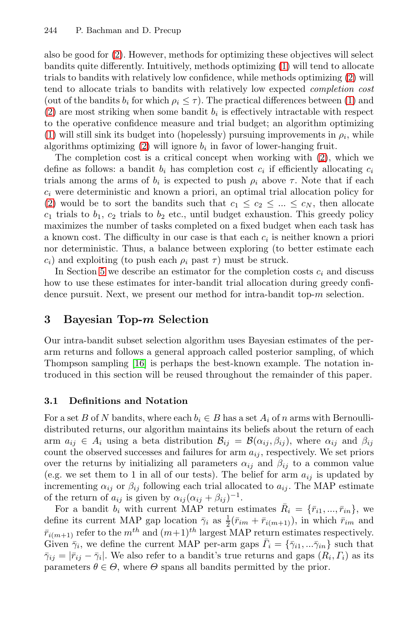also [be](#page-2-0) good for (2). However, methods for optimizing these objectives will select bandits quite differently. Intuitively, methods op[tim](#page-2-0)izing (1) will tend to allocate trials to bandits with relatively low confidence, while methods optimizing (2) will tend to allocate trials to bandits with relatively low expected *completion cost* (out of the bandits  $b_i$  for which  $\rho_i \leq \tau$ ). The practical differences between (1) and (2) are most striking when some bandit  $b_i$  is effectively intractable with respect to the operative confidence measure and trial budget; an algorithm optimizing (1) will still sink its budget into (hopelessly) pursuing improvements in  $\rho_i$ , while algorithms optimizing  $(2)$  will ignore  $b_i$  in favor of lower-hanging fruit.

<span id="page-3-0"></span>The completion cost is a critical concept when working with (2), which we define as follows: a bandit  $b_i$  has completion cost  $c_i$  if efficiently allocating  $c_i$ trials among the arms of  $b_i$  is expected to push  $\rho_i$  above  $\tau$ . Note that if each  $c_i$  were deterministic and known a priori, an optimal trial allocation policy for (2) would be to sort the bandits such that  $c_1 \leq c_2 \leq ... \leq c_N$ , then allocate  $c_1$  trials to  $b_1$ ,  $c_2$  trials to  $b_2$  etc., until budget exhaustion. This greedy policy maximizes the number of tasks completed on a fixed budget when each task has a known cost. The difficulty in our case is that each  $c_i$  is neither known a priori nor deterministic. Thus, a balance between exploring (to better estimate each  $c_i$ ) and exploiting (to push each  $\rho_i$  past  $\tau$ ) must be struck.

I[n S](#page-15-4)ection 5 we describe an estimator for the completion costs  $c_i$  and discuss how to use these estimates for inter-bandit trial allocation during greedy confidence pursuit. Next, we present our method for intra-bandit top- $m$  selection.

## **3 Bayesian Top-***m* **Selection**

Our intra-bandit subset selection algorithm uses Bayesian estimates of the perarm returns and follows a general approach called posterior sampling, of which Thompson sampling [16] is perhaps the best-known example. The notation introduced in this section will be reused throughout the remainder of this paper.

### **3.1 Definitions and Notation**

For a set B of N bandits, where each  $b_i \in B$  has a set  $A_i$  of n arms with Bernoullidistributed returns, our algorithm maintains its beliefs about the return of each arm  $a_{ij} \in A_i$  using a beta distribution  $\mathcal{B}_{ij} = \mathcal{B}(\alpha_{ij}, \beta_{ij})$ , where  $\alpha_{ij}$  and  $\beta_{ij}$ count the observed successes and failures for arm  $a_{ij}$ , respectively. We set priors over the returns by initializing all parameters  $\alpha_{ij}$  and  $\beta_{ij}$  to a common value (e.g. we set them to 1 in all of our tests). The belief for arm  $a_{ij}$  is updated by incrementing  $\alpha_{ij}$  or  $\beta_{ij}$  following each trial allocated to  $a_{ij}$ . The MAP estimate of the return of  $a_{ij}$  is given by  $\alpha_{ij} (\alpha_{ij} + \beta_{ij})^{-1}$ .

For a bandit  $b_i$  with current MAP return estimates  $\bar{R}_i = {\lbrace \bar{r}_{i1}, ..., \bar{r}_{in} \rbrace}$ , we define its current MAP gap location  $\bar{\gamma}_i$  as  $\frac{1}{2}(\bar{r}_{im} + \bar{r}_{i(m+1)}),$  in which  $\bar{r}_{im}$  and  $\bar{r}_{i(m+1)}$  refer to the  $m^{th}$  and  $(m+1)^{th}$  largest MAP return estimates respectively. Given  $\bar{\gamma}_i$ , we define the current MAP per-arm gaps  $\bar{\Gamma}_i = {\bar{\gamma}_{i1}, \dots, \bar{\gamma}_{in}}$  such that  $\bar{\gamma}_{ij} = |\bar{r}_{ij} - \bar{\gamma}_i|$ . We also refer to a bandit's true returns and gaps  $(R_i, \Gamma_i)$  as its parameters  $\theta \in \Theta$ , where  $\Theta$  spans all bandits permitted by the prior.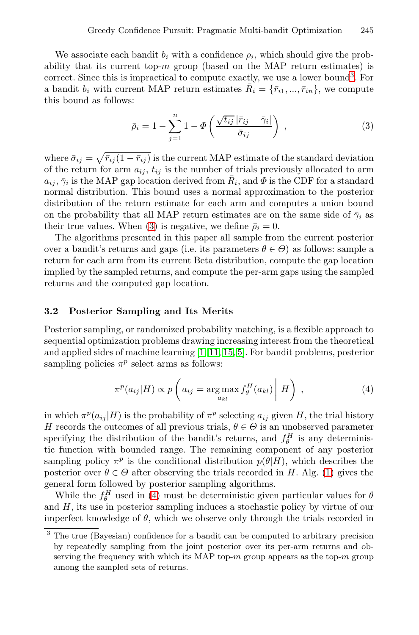<span id="page-4-0"></span>We associate each bandit  $b_i$  with a confidence  $\rho_i$ , which should give the probability that its current top- $m$  group (based on the MAP return estimates) is correct. Since this is impractical to compute exactly, we use a lower bound<sup>3</sup>. For a bandit  $b_i$  with current MAP return estimates  $\bar{R}_i = {\bar{r}}_{i1}, ..., \bar{r}_{in}$ , we compute this bound as follows:

<span id="page-4-1"></span>
$$
\bar{\rho}_i = 1 - \sum_{j=1}^n 1 - \Phi\left(\frac{\sqrt{t_{ij}} |\bar{r}_{ij} - \bar{\gamma}_i|}{\bar{\sigma}_{ij}}\right) ,\qquad (3)
$$

where  $\bar{\sigma}_{ij} = \sqrt{\bar{r}_{ij} (1 - \bar{r}_{ij})}$  is the current MAP estimate of the standard deviation of the return for arm  $a_{ij}$ ,  $t_{ij}$  is the number of trials previously allocated to arm  $a_{ij}, \bar{\gamma}_i$  is the MAP gap location derived from  $\bar{R}_i$ , and  $\Phi$  is the CDF for a standard normal distribution. This bound uses a normal approximation to the posterior distribution of the return estimate for each arm and computes a union bound on the probability that all MAP return estimates are on the same side of  $\bar{\gamma}_i$  as their true values. When (3) is negative, we define  $\bar{\rho}_i = 0$ .

The algorithms presented in this paper all sample from the current posterior over a bandit's returns and gaps (i.e. its parameters  $\theta \in \Theta$ ) as follows: sample a return for each ar[m fr](#page-15-5)[om](#page-15-6) [its](#page-15-7) [cu](#page-15-8)rrent Beta distribution, compute the gap location implied by the sampled returns, and compute the per-arm gaps using the sampled returns and the computed gap location.

### **3.2 Posterior Sampling and Its Merits**

Posterior sampling, or randomized probability matching, is a flexible approach to sequential optimization problems drawing increasing interest from the theoretical and applied sides of machine learning [1, 11, 15, 5]. For bandit problems, posterior sampling policies  $\pi^p$  select arms as follows:

$$
\pi^p(a_{ij}|H) \propto p\left(a_{ij} = \underset{a_{kl}}{\arg\max} f_\theta^H(a_{kl})\middle| H\right) , \qquad (4)
$$

in w[h](#page-4-1)ich  $\pi^p(a_{ij} | H)$  is the probability of  $\pi^p$  selecting  $a_{ij}$  given H, the trial history H records the outcomes of all previous trials,  $\theta \in \Theta$  is an unobserved parameter specifying the distribution of the bandit's returns, and  $f_{\theta}^H$  is any deterministic function with bounded range. The remaining component of any posterior sampling policy  $\pi^p$  is the conditional distribution  $p(\theta|H)$ , which describes the posterior over  $\theta \in \Theta$  after observing the trials recorded in H. Alg. (1) gives the general form followed by posterior sampling algorithms.

While the  $f_{\theta}^H$  used in (4) must be deterministic given particular values for  $\theta$ and  $H$ , its use in posterior sampling induces a stochastic policy by virtue of our imperfect knowledge of  $\theta$ , which we observe only through the trials recorded in

The true (Bayesian) confidence for a bandit can be computed to arbitrary precision by repeatedly sampling from the joint posterior over its per-arm returns and observing the frequency with which its MAP top- $m$  group appears as the top- $m$  group among the sampled sets of returns.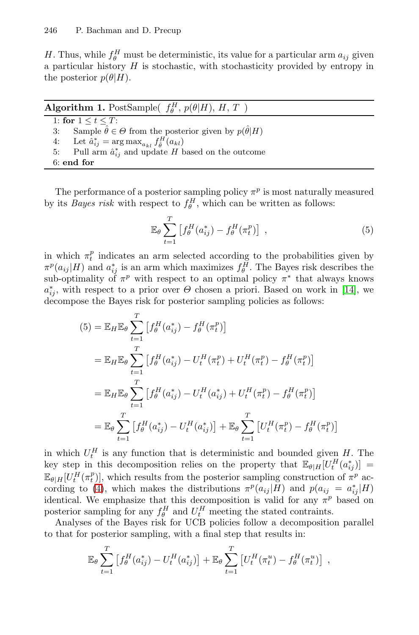<span id="page-5-0"></span>H. Thus, while  $f_{\theta}^H$  must be deterministic, its value for a particular arm  $a_{ij}$  given a particular history  $H$  is stochastic, with stochasticity provided by entropy in the posterior  $p(\theta|H)$ .

| <b>Algorithm 1.</b> PostSample( $f_a^H$ , $p(\theta H)$ , H, T)                        |
|----------------------------------------------------------------------------------------|
| 1: for $1 \le t \le T$ :                                                               |
| Sample $\hat{\theta} \in \Theta$ from the posterior given by $p(\hat{\theta} H)$<br>3: |
| 4: Let $\hat{a}_{ij}^* = \arg \max_{a_{kl}} f_{\hat{\theta}}^H(a_{kl})$                |
| 5: Pull arm $\hat{a}_{ij}^*$ and update H based on the outcome                         |
| $6:$ end for                                                                           |
|                                                                                        |

The performance of a posterior sampling policy  $\pi^p$  is most naturally measured by its *Bayes risk* with respect to  $f_{\theta}^H$ , which can be w[ritt](#page-15-9)en as follows:

$$
\mathbb{E}_{\theta} \sum_{t=1}^{T} \left[ f_{\theta}^{H}(a_{ij}^{*}) - f_{\theta}^{H}(\pi_{t}^{p}) \right] , \qquad (5)
$$

in which  $\pi_t^p$  indicates an arm selected according to the probabilities given by  $\pi^p(a_{ij}|H)$  and  $a_{ij}^*$  is an arm which maximizes  $f_{\theta}^H$ . The Bayes risk describes the sub-optimality of  $\pi^p$  with respect to an optimal policy  $\pi^*$  that always knows  $a_{ij}^*$ , with respect to a prior over  $\Theta$  chosen a priori. Based on work in [14], we decompose the Bayes risk for posterior sampling policies as follows:

$$
(5) = \mathbb{E}_{H} \mathbb{E}_{\theta} \sum_{t=1}^{T} \left[ f_{\theta}^{H}(a_{ij}^{*}) - f_{\theta}^{H}(\pi_{t}^{p}) \right]
$$
  
\n
$$
= \mathbb{E}_{H} \mathbb{E}_{\theta} \sum_{t=1}^{T} \left[ f_{\theta}^{H}(a_{ij}^{*}) - U_{t}^{H}(\pi_{t}^{p}) + U_{t}^{H}(\pi_{t}^{p}) - f_{\theta}^{H}(\pi_{t}^{p}) \right]
$$
  
\n
$$
= \mathbb{E}_{H} \mathbb{E}_{\theta} \sum_{t=1}^{T} \left[ f_{\theta}^{H}(a_{ij}^{*}) - U_{t}^{H}(a_{ij}^{*}) + U_{t}^{H}(\pi_{t}^{p}) - f_{\theta}^{H}(\pi_{t}^{p}) \right]
$$
  
\n
$$
= \mathbb{E}_{\theta} \sum_{t=1}^{T} \left[ f_{\theta}^{H}(a_{ij}^{*}) - U_{t}^{H}(a_{ij}^{*}) \right] + \mathbb{E}_{\theta} \sum_{t=1}^{T} \left[ U_{t}^{H}(\pi_{t}^{p}) - f_{\theta}^{H}(\pi_{t}^{p}) \right]
$$

in which  $U_t^H$  is any function that is deterministic and bounded given H. The key step in this decomposition relies on the property that  $\mathbb{E}_{\theta|H}[U_t^H(a_{ij}^*)] =$  $\mathbb{E}_{\theta|H}[U_t^H(\pi_t^p)]$ , which results from the posterior sampling construction of  $\pi^p$  according to (4), which makes the distributions  $\pi^p(a_{ij}|H)$  and  $p(a_{ij} = a_{ij}^*|H)$ identical. We emphasize that this decomposition is valid for any  $\pi^p$  based on posterior sampling for any  $f_{\theta}^H$  and  $U_t^H$  meeting the stated contraints.

Analyses of the Bayes risk for UCB policies follow a decomposition parallel to that for posterior sampling, with a final step that results in:

$$
\mathbb{E}_{\theta} \sum_{t=1}^{T} \left[ f_{\theta}^{H}(a_{ij}^{*}) - U_{t}^{H}(a_{ij}^{*}) \right] + \mathbb{E}_{\theta} \sum_{t=1}^{T} \left[ U_{t}^{H}(\pi_{t}^{u}) - f_{\theta}^{H}(\pi_{t}^{u}) \right],
$$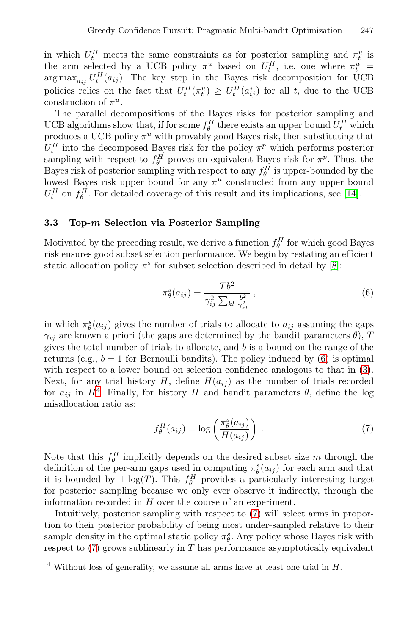in which  $U_t^H$  meets the same constraints as for posterior sampling and  $\pi_t^u$  is the arm selected by a UCB policy  $\pi^u$  based on  $U_t^H$ , i.e. one where  $\pi_t^u$  =  $\arg \max_{a_{ij}} U_t^H(a_{ij})$ . The key step in the Bayes risk decomposition for UCB policies relies on the fact that  $U_t^H(\pi_t^u) \geq U_t^H(a_{ij}^*)$  for all t, due to the UCB construction of  $\pi^u$ .

The parallel decompositions of the Bayes risks for [po](#page-15-9)sterior sampling and UCB algorithms show that, if for some  $f_{\theta}^H$  there exists an upper bound  $U_t^H$  which produces a UCB policy  $\pi^u$  with provably good Bayes risk, then substituting that  $U_t^H$  into the decomposed Bayes risk for the policy  $\pi^p$  which performs posterior sampling with respect to  $f_{\theta}^H$  proves an equivalent Bayes risk for  $\pi^p$ . Thus, the Bayes risk of posterior sampling with respect to any  $f_{\theta}^{H}$  is upper-bounded by the lowest Bayes risk upper bound for any  $\pi^u$  constr[uct](#page-15-2)ed from any upper bound  $U_t^H$  on  $f_\theta^H$ . For detailed coverage of this result and its implications, see [14].

## **3.3 Top-***m* **Selection via Posterior Sampling**

Motivated by the preceding result, we derive a function  $f_{\theta}^H$  for which good Bayes risk ensures good subset selection performance. We begin by restating an efficient static allocation policy  $\pi^s$  for subset selection d[esc](#page-6-0)ribed in detail by [8]:

<span id="page-6-1"></span><span id="page-6-0"></span>
$$
\pi_{\theta}^{s}(a_{ij}) = \frac{Tb^{2}}{\gamma_{ij}^{2} \sum_{kl} \frac{b^{2}}{\gamma_{kl}^{2}}},
$$
\n(6)

in which  $\pi^s_{\theta}(a_{ij})$  gives the number of trials to allocate to  $a_{ij}$  assuming the gaps  $\gamma_{ij}$  are known a priori (the gaps are determined by the bandit parameters  $\theta$ ), T gives the total number of trials to allocate, and b is a bound on the range of the returns (e.g.,  $b = 1$  for Bernoulli bandits). The policy induced by (6) is optimal with respect to a lower bound on selection confidence analogous to that in  $(3)$ . Next, for any trial history  $H$ , define  $H(a_{ij})$  as the number of trials recorded for  $a_{ij}$  in  $H^4$ . Finally, for history H and bandit parameters  $\theta$ , define the log misallocation ratio as:

$$
f_{\theta}^{H}(a_{ij}) = \log\left(\frac{\pi_{\theta}^{s}(a_{ij})}{H(a_{ij})}\right) \tag{7}
$$

Note that this  $f_{\theta}^H$  implicitly depends on the desired subset size m through the definition of the per-arm gaps used in computing  $\pi_{\theta}^{s}(a_{ij})$  for each arm and that it is bounded by  $\pm \log(T)$ . This  $f_\theta^H$  provides a particularly interesting target for posterior sampling because we only ever observe it indirectly, through the information recorded in H over the course of an experiment.

Intuitively, posterior sampling with respect to (7) will select arms in proportion to their posterior probability of being most under-sampled relative to their sample density in the optimal static policy  $\pi^s_{\theta}$ . Any policy whose Bayes risk with respect to  $(7)$  grows sublinearly in T has performance asymptotically equivalent

 $4$  Without loss of generality, we assume all arms have at least one trial in H.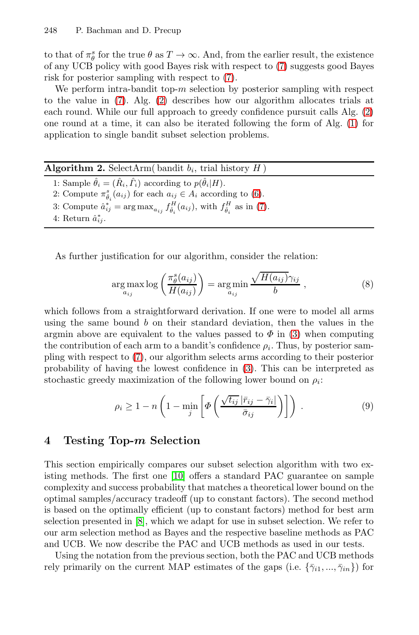to that of  $\pi^s_{\theta}$  for the true  $\theta$  as  $T \to \infty$ . And, from the earlier result, the existence of any UCB policy with good Bayes risk with respect to (7) suggests good Bayes risk for posterior sampling with respect to (7).

We perform intra-bandit top- $m$  selection by posterior sampling with respect to the value in (7). Alg. (2) describes how our algorithm allocates trials at each round. While our full appr[oa](#page-6-0)ch to greedy confidence pursuit calls Alg. (2) one round at a time, it can also [be](#page-6-1) iterated following the form of Alg. (1) for application to single bandit subset selection problems.

| 1: Sample $\hat{\theta}_i = (\hat{R}_i, \hat{\Gamma}_i)$ according to $p(\hat{\theta}_i H)$ .                         |  |
|-----------------------------------------------------------------------------------------------------------------------|--|
|                                                                                                                       |  |
| 2: Compute $\pi_{\hat{\theta}_i}^s(a_{ij})$ for each $a_{ij} \in A_i$ according to (6).                               |  |
| 3: Compute $\hat{a}_{ij}^* = \arg \max_{a_{ij}} f_{\hat{\theta}_i}^H(a_{ij}),$ with $f_{\hat{\theta}_i}^H$ as in (7). |  |
| 4: Return $\hat{a}_{ii}^*$ .                                                                                          |  |

<span id="page-7-0"></span>As further justification for our algorithm, consider the relation:

$$
\underset{a_{ij}}{\arg\max} \log \left( \frac{\pi_{\theta}^{s}(a_{ij})}{H(a_{ij})} \right) = \underset{a_{ij}}{\arg\min} \frac{\sqrt{H(a_{ij})} \gamma_{ij}}{b} , \qquad (8)
$$

which follows from a straightforward derivation. If one were to model all arms using the same bound  $b$  on their standard deviation, then the values in the argmin above are equivalent to the values passed to  $\Phi$  in (3) when computing the contribution of each arm to a bandit's confidence  $\rho_i$ . Thus, by posterior sampling with respect to (7), our algorithm selects arms according to their posterior probability of having the lowest confidence in (3). This can be interpreted as stochastic greedy maximization of the following lower bound on  $\rho_i$ :

$$
\rho_i \ge 1 - n \left( 1 - \min_j \left[ \varPhi \left( \frac{\sqrt{t_{ij}} \left| \bar{r}_{ij} - \bar{\gamma}_i \right|}{\bar{\sigma}_{ij}} \right) \right] \right) \tag{9}
$$

## **4 [T](#page-15-2)esting Top-***m* **Selection**

This section empirically compares our subset selection algorithm with two existing methods. The first one [10] offers a standard PAC guarantee on sample complexity and success probability that matches a theoretical lower bound on the optimal samples/accuracy tradeoff (up to constant factors). The second method is based on the optimally efficient (up to constant factors) method for best arm selection presented in [8], which we adapt for use in subset selection. We refer to our arm selection method as Bayes and the respective baseline methods as PAC and UCB. We now describe the PAC and UCB methods as used in our tests.

Using the notation from the previous section, both the PAC and UCB methods rely primarily on the current MAP estimates of the gaps (i.e.  $\{\bar{\gamma}_{i1},...,\bar{\gamma}_{in}\}\)$  for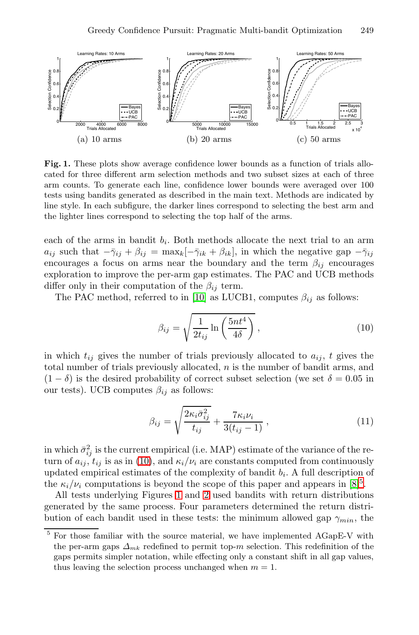<span id="page-8-1"></span>

**Fig. 1.** These plots show average confidence lower bounds as a function of trials allocated for three different arm selection methods and two subset sizes at each of three arm counts. To generate each line, confidence lower bounds were averaged over 100 tests using bandits generated as described in the main text. Methods are indicated by line style. In each s[ubfi](#page-15-10)gure, the darker lines correspond to selecting the best arm and the lighter lines correspond to selecting the top half of the arms.

each of the arms in bandit  $b_i$ . Both methods allocate the next trial to an arm  $a_{ij}$  such that  $-\bar{\gamma}_{ij} + \beta_{ij} = \max_k[-\bar{\gamma}_{ik} + \beta_{ik}]$ , in which the negative gap  $-\bar{\gamma}_{ij}$ encourages a focus on arms near the boundary and the term  $\beta_{ij}$  encourages exploration to improve the per-arm gap estimates. The PAC and UCB methods differ only in their computation of the  $\beta_{ij}$  term.

The PAC method, referred to in [10] as LUCB1, computes  $\beta_{ij}$  as follows:

<span id="page-8-0"></span>
$$
\beta_{ij} = \sqrt{\frac{1}{2t_{ij}} \ln\left(\frac{5nt^4}{4\delta}\right)},\tag{10}
$$

in which  $t_{ij}$  gives the number of trials previously allocated to  $a_{ij}$ , t gives the total [nu](#page-8-0)mber of trials previously allocated,  $n$  is the number of bandit arms, and  $(1 - \delta)$  is the desired probability of correct subset selection (we set  $\delta = 0.05$  in our tests). UCB computes  $\beta_{ij}$  as follows:

$$
\beta_{ij} = \sqrt{\frac{2\kappa_i \bar{\sigma}_{ij}^2}{t_{ij}} + \frac{7\kappa_i \nu_i}{3(t_{ij} - 1)}},\tag{11}
$$

in which  $\bar{\sigma}_{ij}^2$  is the current empirical (i.e. MAP) estimate of the variance of the return of  $a_{ij}$ ,  $t_{ij}$  is as in (10), and  $\kappa_i/\nu_i$  are constants computed from continuously updated empirical estimates of the complexity of bandit  $b_i$ . A full description of the  $\kappa_i/\nu_i$  computations is beyond the scope of this paper and appears in [8]<sup>5</sup>.

All tests underlying Figures 1 and 2 used bandits with return distributions generated by the same process. Four parameters determined the return distribution of each bandit used in these tests: the minimum allowed gap  $\gamma_{min}$ , the

 $5$  For those familiar with the source material, we have implemented AGapE-V with the per-arm gaps  $\Delta_{mk}$  redefined to permit top-m selection. This redefinition of the gaps permits simpler notation, while effecting only a constant shift in all gap values, thus leaving the selection process unchanged when  $m = 1$ .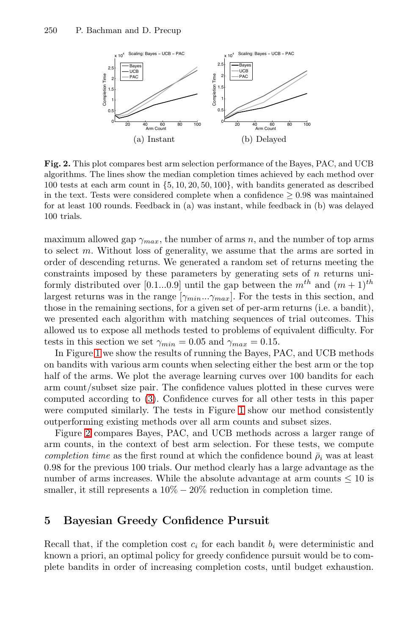

**Fig. 2.** This plot compares best arm selection performance of the Bayes, PAC, and UCB algorithms. The lines show the median completion times achieved by each method over 100 tests at each arm count in {5, 10, 20, 50, 100}, with bandits generated as described in the text. Tests were considered complete when a confidence  $\geq 0.98$  was maintained for at least 100 rounds. Feedback in (a) was instant, while feedback in (b) was delayed 100 trials.

maximum allowed gap  $\gamma_{max}$ , the number of arms n, and the number of top arms to select m. Without loss of generality, we assume that the arms are sorted in order of descending returns. We generated a random set of returns meeting the constraints imposed by these parameters by generating sets of  $n$  returns uniformly distributed over [0.1...0.9] until the gap between the  $m^{th}$  and  $(m+1)^{th}$ largest returns was in the range  $[\gamma_{min}...\gamma_{max}]$ . For the tests in this section, and those i[n t](#page-4-0)he remaining sections, for a given set of per-arm returns (i.e. a bandit), we presented each algorith[m w](#page-8-1)ith matching sequences of trial outcomes. This allowed us to expose all methods tested to problems of equivalent difficulty. For tests in this section we set  $\gamma_{min} = 0.05$  and  $\gamma_{max} = 0.15$ .

<span id="page-9-0"></span>In Figure 1 we show the results of running the Bayes, PAC, and UCB methods on bandits with various arm counts when selecting either the best arm or the top half of the arms. We plot the average learning curves over 100 bandits for each arm count/subset size pair. The confidence values plotted in these curves were computed according to (3). Confidence curves for all other tests in this paper were computed similarly. The tests in Figure 1 show our method consistently outperforming existing methods over all arm counts and subset sizes.

Figure 2 compares Bayes, PAC, and UCB methods across a larger range of arm counts, in the context of best arm selection. For these tests, we compute *completion time* as the first round at which the confidence bound  $\bar{\rho}_i$  was at least 0.98 for the previous 100 trials. Our method clearly has a large advantage as the number of arms increases. While the absolute advantage at arm counts  $\leq 10$  is smaller, it still represents a  $10\% - 20\%$  reduction in completion time.

## **5 Bayesian Greedy Confidence Pursuit**

Recall that, if the completion cost  $c_i$  for each bandit  $b_i$  were deterministic and known a priori, an optimal policy for greedy confidence pursuit would be to complete bandits in order of increasing completion costs, until budget exhaustion.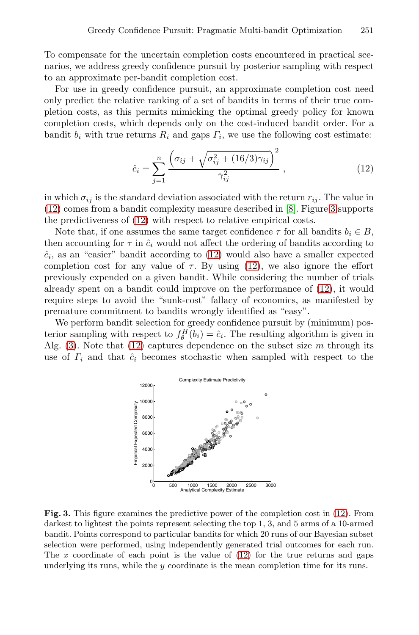To compensate for the uncertain completion costs encountered in practical scenarios, we address greedy confidence pursuit by posterior sampling with respect to an approximate per-bandit completion cost.

For use in greedy confidence pursuit, an approximate completion cost need only predict the relative ranking of a set of bandits in terms of their true completion costs, as this permits mimicking the optimal greedy policy for known completion costs, which depends only o[n](#page-15-2) the cost[-in](#page-10-0)duced bandit order. For a ban[dit](#page-10-1)  $b_i$  with true returns  $R_i$  and gaps  $\Gamma_i$ , we use the following cost estimate:

<span id="page-10-1"></span>
$$
\hat{c}_i = \sum_{j=1}^n \frac{\left(\sigma_{ij} + \sqrt{\sigma_{ij}^2 + (16/3)\gamma_{ij}}\right)^2}{\gamma_{ij}^2},
$$
\n(12)

in which  $\sigma_{ij}$  is the standard deviation associated [wit](#page-10-1)h the return  $r_{ij}$ . The value in (12) comes from a bandit complexity measure described in [8]. Figure 3 supports the predictiveness of (12) with respect to relative empirical costs.

Note that, if one assumes the same target confidence  $\tau$  for all bandits  $b_i \in B$ , then accounting for  $\tau$  in  $\hat{c}_i$  would not affect the ordering of bandits according to  $\hat{c}_i$ , [as](#page-10-1) an "easier" bandit according to (12) would also have a smaller expected completion cost for any value of  $\tau$ . By using (12), we also ignore the effort previously expended on a given bandit. While considering the number of trials already spent on a bandit could improve on the performance of (12), it would require steps to avoid the "sunk-cost" fallacy of economics, as manifested by premature commitment to bandits wrongly identified as "easy".

<span id="page-10-0"></span>We perform bandit selection for greedy confidence pursuit by (minimum) posterior sampling with respect to  $f_{\theta}^{H}(b_i)=\hat{c}_i$ . The resulting algorithm is given in Alg.  $(3)$ . Note that  $(12)$  captures dependence on the subset size m through its use of  $\Gamma_i$  and that  $\hat{c}_i$  becomes stochastic when sampled with respect to the



**Fig. 3.** This figure examines the predictive power of the completion cost in (12). From darkest to lightest the points represent selecting the top 1, 3, and 5 arms of a 10-armed bandit. Points correspond to particular bandits for which 20 runs of our Bayesian subset selection were performed, using independently generated trial outcomes for each run. The  $x$  coordinate of each point is the value of  $(12)$  for the true returns and gaps underlying its runs, while the y coordinate is the mean completion time for its runs.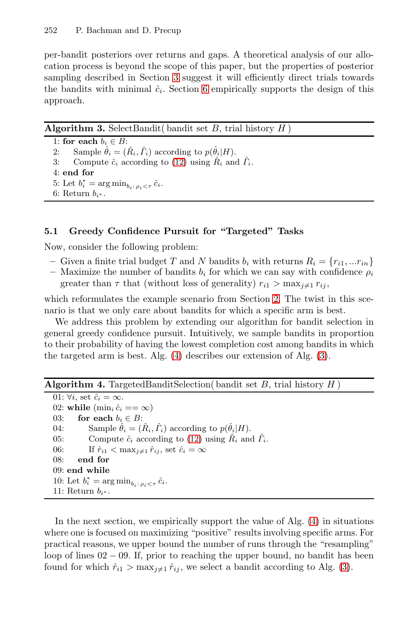<span id="page-11-1"></span>per-bandit posteriors over returns and gaps. A theoretical analysis of our allocation process is beyond the scope of this paper, but the properties of posterior sampling des[crib](#page-10-1)ed in Section 3 suggest it will efficiently direct trials towards the bandits with minimal  $\hat{c}_i$ . Section 6 empirically supports the design of this approach.

**Algorithm 3.** SelectBandit( bandit set B, trial history  $H$ ) 1: **for each**  $b_i \in B$ : 2: Sample  $\hat{\theta}_i = (\hat{R}_i, \hat{\Gamma}_i)$  according to  $p(\hat{\theta}_i|H)$ . 3: Compute  $\hat{c}_i$  according to (12) using  $\hat{R}_i$  and  $\hat{T}_i$ . 4: **end for** 5: Let  $b_i^* = \arg \min_{b_i : \rho_i < \tau} \hat{c}_i$ . 6: Return  $b_{i^*}$ .

# <span id="page-11-0"></span>**5.1 Greedy Confidence Pursuit for "Targeted" Tasks**

Now, consider the following problem:

- Given a finite trial budget T and N bandits  $b_i$  with returns  $R_i = \{r_{i1},...r_{in}\}\$
- Maximiz[e](#page-11-0) [t](#page-11-0)[h](#page-11-1)e number of bandits  $b_i$  for [w](#page-11-1)hich we can say with confidence  $\rho_i$ greater than  $\tau$  that (without loss of generality)  $r_{i1} > \max_{i \neq 1} r_{ij}$ ,

which reformulates the example scenario from Section 2. The twist in this scenario is that we only care about bandits for which a specific arm is best.

We address this problem by extending our algorithm for bandit selection in general greedy confidence pursuit. Intuitively, we sample bandits in proportion to their probability of having the lowest completion cost among bandits in which the targeted arm [is](#page-10-1) best. Alg. (4) describes our extension of Alg. (3).

**Algorithm 4.** TargetedBanditSelection( bandit set  $B$ , trial history  $H$ )

01:  $\forall i$ , set  $\hat{c}_i = \infty$ . 02: **while**  $(\min_i \hat{c}_i == \infty)$ 03: **for each**  $b_i \in B$ : 04: Sample  $\hat{\theta}_i = (\hat{R}_i, \hat{\Gamma}_i)$  according to  $p(\hat{\theta}_i|H)$  $p(\hat{\theta}_i|H)$  $p(\hat{\theta}_i|H)$ . 05: Compute  $\hat{c}_i$  according to (12) using  $\hat{R}_i$  and  $\hat{T}_i$ . 06: If  $\hat{r}_{i1} < \max_{j \neq 1} \hat{r}_{ij}$ , set  $\hat{c}_i = \infty$ <br>08: end for end for 09: **end while** 10: Let  $b_i^* = \arg \min_{b_i : \rho_i < \tau} \hat{c}_i$ . 11: Return  $b_{i^*}$ .

In the next section, we empirically support the value of Alg. (4) in situations where one is focused on maximizing "positive" results involving specific arms. For practical reasons, we upper bound the number of runs through the "resampling" loop of lines 02 − 09. If, prior to reaching the upper bound, no bandit has been found for which  $\hat{r}_{i1} > \max_{i \neq 1} \hat{r}_{i},$  we select a bandit according to Alg. (3).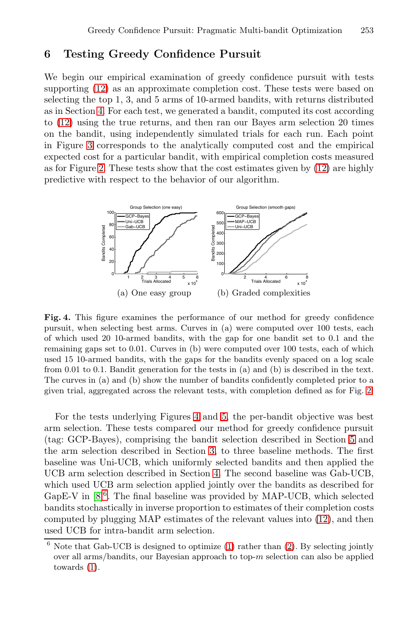# **6 Testing Greedy Confidence Pursuit**

<span id="page-12-0"></span>We begin our empirical examination of greed[y c](#page-10-1)onfidence pursuit with tests supporting (12) as an approximate completion cost. These tests were based on selecting the top 1, 3, and 5 arms of 10-armed bandits, with returns distributed as in Section 4. For each test, we generated a bandit, computed its cost according to (12) using the true returns, and then ran our Bayes arm selection 20 times on the bandit, using independently simulated trials for each run. Each point in Figure 3 corresponds to the analytically computed cost and the empirical expected cost for a particular bandit, with empirical completion costs measured as for Figure 2. These tests show that the cost estimates given by (12) are highly predictive with respect to the behavior of our algorithm.



**Fig. 4.** This figure examines the performance of our method for greedy confidence pursuit, when selec[tin](#page-12-0)g be[st](#page-13-0) arms. Curves in (a) were computed over 100 tests, each of which used 20 10-armed bandits, with the gap for one bandit set to 0.1 and the remaining gaps set to 0.01. Curves in (b) were computed ov[er](#page-9-0) 100 tests, each of which used 15 10-armed band[its](#page-3-0), with the gaps for the bandits evenly spaced on a log scale from 0.01 to 0.1. Bandit generation for the tests in (a) and (b) is described in the text. The curves in (a) and (b) show the number of bandits confidently completed prior to a given trial, aggregated a[cro](#page-7-0)ss the relevant tests, with completion defined as for Fig. 2.

For the tests underlying Figures 4 and 5, the per-bandit objective was best arm selection. These tests compared our metho[d f](#page-10-1)or greedy confidence pursuit (tag: GCP-Bayes), comprising the bandit selection described in Section 5 and the arm selection described in Section 3, to three baseline methods. The first baseline was Uni-UCB, w[hi](#page-2-1)ch uniformly [s](#page-2-0)elected bandits and then applied the UCB arm selection described in Section 4. The second baseline was Gab-UCB, which used UCB arm selection applied jointly over the bandits as described for GapE-V in  $[8]^{6}$ . The final baseline was provided by MAP-UCB, which selected bandits stochastically in inverse proportion to estimates of their completion costs computed by plugging MAP estimates of the relevant values into (12), and then used UCB for intra-bandit arm selection.

 $6$  Note that Gab-UCB is designed to optimize (1) rather than (2). By selecting jointly over all arms/bandits, our Bayesian approach to top-m selection can also be applied towards (1).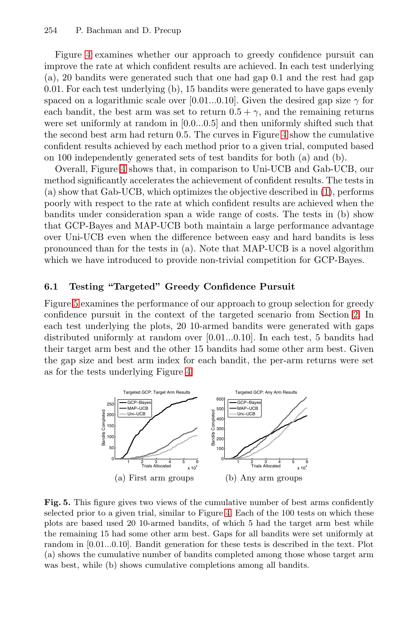Figure 4 examines whether our ap[pro](#page-12-0)ach to greedy confidence pursuit can improve the rate at which confident results are achieved. In each test underlying [\(a](#page-12-0)), 20 bandits were generated such that one had gap 0.1 and the rest had gap 0.01. For each test underlying (b), 15 bandits were generated to have gaps evenly spaced on a logarithmic scale over [0.01...0.10]. [Giv](#page-2-1)en the desired gap size  $\gamma$  for each bandit, the best arm was set to return  $0.5 + \gamma$ , and the remaining returns were set uniformly at random in [0.0...0.5] and then uniformly shifted such that the second best arm had return 0.5. The curves in Figure 4 show the cumulative confident results achieved by each method prior to a given trial, computed based on 100 independently generated sets of test bandits for both (a) and (b).

Overall, Figure 4 shows that, in comparison to Uni-UCB and Gab-UCB, our method significantly accelerates the achievement of confident results. The tests in (a) show that Gab-UCB, which optimizes the objective described in (1), performs poorly with respect to the rate at which confident results are achieved when the bandits under consideration span a wide range of costs. The tests in (b) show that GCP-Bayes and MAP-UCB both maintain a large [pe](#page-2-2)rformance advantage over Uni-UCB even when the difference between easy and hard bandits is less pronounced than for the tests in (a). Note that MAP-UCB is a novel algorithm which we have introduced to provide non-trivial competition for GCP-Bayes.

## **6.1 Testing ["T](#page-12-0)argeted" Greedy Confidence Pursuit**

<span id="page-13-0"></span>Figure 5 examines the performance of our approach to group selection for greedy confidence pursuit in the context of the targeted scenario from Section 2. In each test underlying the plots, 20 10-armed bandits were generated with gaps distributed uniformly at random over [0.01...0.10]. In each test, 5 bandits had their target arm best and the other 15 bandits had some other arm best. Given the gap size and best arm index for each bandit, the per-arm returns were set as for the tests underlying Figure 4.



Fig. 5. This figure gives two views of the cumulative number of best arms confidently selected prior to a given trial, similar to Figure 4. Each of the 100 tests on which these plots are based used 20 10-armed bandits, of which 5 had the target arm best while the remaining 15 had some other arm best. Gaps for all bandits were set uniformly at random in [0.01...0.10]. Bandit generation for these tests is described in the text. Plot (a) shows the cumulative number of bandits completed among those whose target arm was best, while (b) shows cumulative completions among all bandits.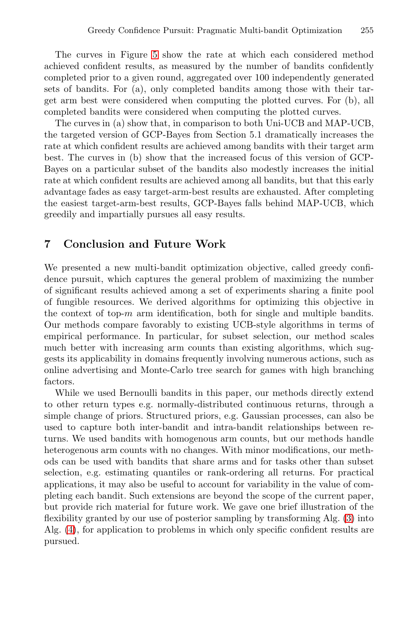The curves in Figure 5 show the rate at which each considered method achieved confident results, as measured by the number of bandits confidently completed prior to a given round, aggregated over 100 independently generated sets of bandits. For (a), only completed bandits among those with their target arm best were considered when computing the plotted curves. For (b), all completed bandits were considered when computing the plotted curves.

The curves in (a) show that, in comparison to both Uni-UCB and MAP-UCB, the targeted version of GCP-Bayes from Section 5.1 dramatically increases the rate at which confident results are achieved among bandits with their target arm best. The curves in (b) show that the increased focus of this version of GCP-Bayes on a particular subset of the bandits also modestly increases the initial rate at which confident results are achieved among all bandits, but that this early advantage fades as easy target-arm-best results are exhausted. After completing the easiest target-arm-best results, GCP-Bayes falls behind MAP-UCB, which greedily and impartially pursues all easy results.

# **7 Conclusion and Future Work**

We presented a new multi-bandit optimization objective, called greedy confidence pursuit, which captures the general problem of maximizing the number of significant results achieved among a set of experiments sharing a finite pool of fungible resources. We derived algorithms for optimizing this objective in the context of top- $m$  arm identification, both for single and multiple bandits. Our methods compare favorably to existing UCB-style algorithms in terms of empirical performance. In particular, for subset selection, our method scales much better with increasing arm counts than existing algorithms, which suggests its applicability in domains frequently involving numerous actions, such as online advertising and Monte-Carlo tree search for games with high branching factors.

While we used Bernoulli bandits in this paper, our methods directly extend to other return types e.g. normally-distributed continuous returns, through a simple change of priors. Structured priors, e.g. Gaussian processes, can also be used to capture both inter-bandit and intra-bandit r[el](#page-11-1)ationships between returns. We used bandits with homogenous arm counts, but our methods handle heterogenous arm counts with no changes. With minor modifications, our methods can be used with bandits that share arms and for tasks other than subset selection, e.g. estimating quantiles or rank-ordering all returns. For practical applications, it may also be useful to account for variability in the value of completing each bandit. Such extensions are beyond the scope of the current paper, but provide rich material for future work. We gave one brief illustration of the flexibility granted by our use of posterior sampling by transforming Alg. (3) into Alg. (4), for application to problems in which only specific confident results are pursued.